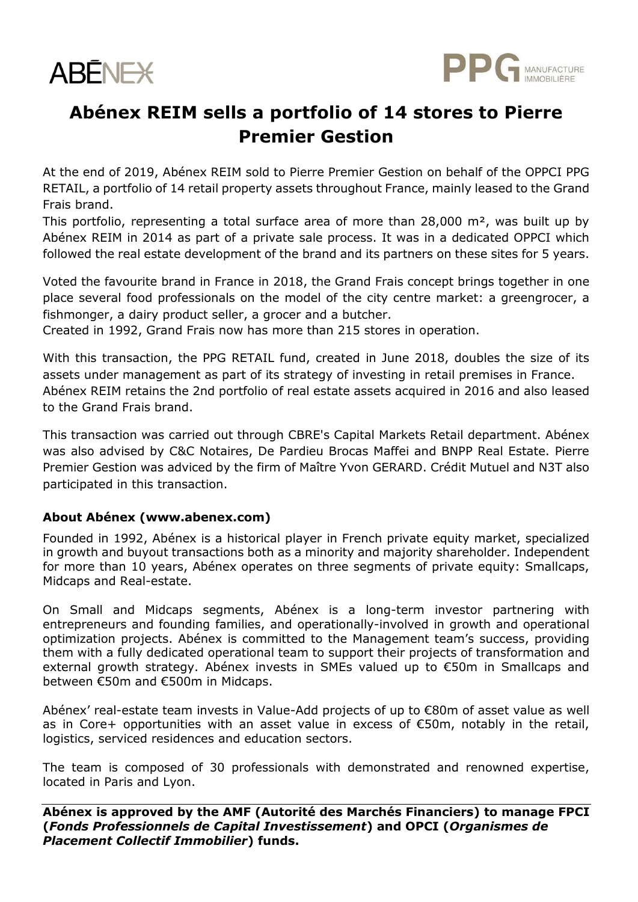



## **Abénex REIM sells a portfolio of 14 stores to Pierre Premier Gestion**

At the end of 2019, Abénex REIM sold to Pierre Premier Gestion on behalf of the OPPCI PPG RETAIL, a portfolio of 14 retail property assets throughout France, mainly leased to the Grand Frais brand.

This portfolio, representing a total surface area of more than  $28,000$  m<sup>2</sup>, was built up by Abénex REIM in 2014 as part of a private sale process. It was in a dedicated OPPCI which followed the real estate development of the brand and its partners on these sites for 5 years.

Voted the favourite brand in France in 2018, the Grand Frais concept brings together in one place several food professionals on the model of the city centre market: a greengrocer, a fishmonger, a dairy product seller, a grocer and a butcher.

Created in 1992, Grand Frais now has more than 215 stores in operation.

With this transaction, the PPG RETAIL fund, created in June 2018, doubles the size of its assets under management as part of its strategy of investing in retail premises in France. Abénex REIM retains the 2nd portfolio of real estate assets acquired in 2016 and also leased to the Grand Frais brand.

This transaction was carried out through CBRE's Capital Markets Retail department. Abénex was also advised by C&C Notaires, De Pardieu Brocas Maffei and BNPP Real Estate. Pierre Premier Gestion was adviced by the firm of Maître Yvon GERARD. Crédit Mutuel and N3T also participated in this transaction.

## **About Abénex (www.abenex.com)**

Founded in 1992, Abénex is a historical player in French private equity market, specialized in growth and buyout transactions both as a minority and majority shareholder. Independent for more than 10 years, Abénex operates on three segments of private equity: Smallcaps, Midcaps and Real-estate.

On Small and Midcaps segments, Abénex is a long-term investor partnering with entrepreneurs and founding families, and operationally-involved in growth and operational optimization projects. Abénex is committed to the Management team's success, providing them with a fully dedicated operational team to support their projects of transformation and external growth strategy. Abénex invests in SMEs valued up to €50m in Smallcaps and between €50m and €500m in Midcaps.

Abénex' real-estate team invests in Value-Add projects of up to €80m of asset value as well as in Core+ opportunities with an asset value in excess of €50m, notably in the retail, logistics, serviced residences and education sectors.

The team is composed of 30 professionals with demonstrated and renowned expertise, located in Paris and Lyon.

**Abénex is approved by the AMF (Autorité des Marchés Financiers) to manage FPCI (***Fonds Professionnels de Capital Investissement***) and OPCI (***Organismes de Placement Collectif Immobilier***) funds.**